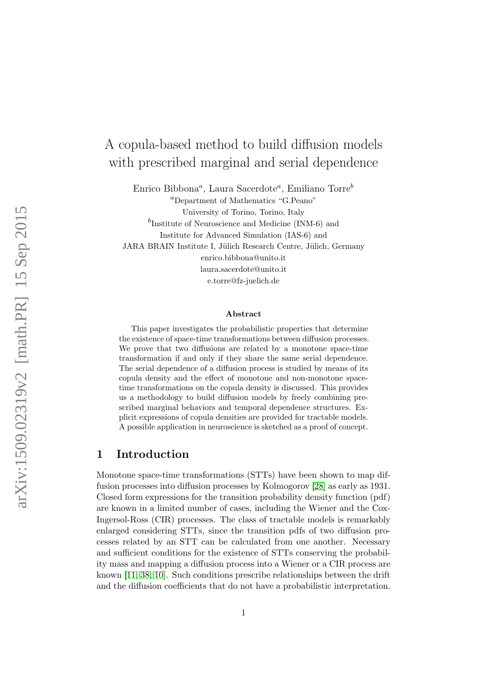# A copula-based method to build diffusion models with prescribed marginal and serial dependence

Enrico Bibbona<sup>*a*</sup>, Laura Sacerdote<sup>*a*</sup>, Emiliano Torre<sup>b</sup>

<sup>a</sup>Department of Mathematics "G.Peano" University of Torino, Torino, Italy  $^{b}$ Institute of Neuroscience and Medicine (INM-6) and Institute for Advanced Simulation (IAS-6) and JARA BRAIN Institute I, Jülich Research Centre, Jülich, Germany enrico.bibbona@unito.it laura.sacerdote@unito.it e.torre@fz-juelich.de

#### Abstract

This paper investigates the probabilistic properties that determine the existence of space-time transformations between diffusion processes. We prove that two diffusions are related by a monotone space-time transformation if and only if they share the same serial dependence. The serial dependence of a diffusion process is studied by means of its copula density and the effect of monotone and non-monotone spacetime transformations on the copula density is discussed. This provides us a methodology to build diffusion models by freely combining prescribed marginal behaviors and temporal dependence structures. Explicit expressions of copula densities are provided for tractable models. A possible application in neuroscience is sketched as a proof of concept.

# <span id="page-0-0"></span>1 Introduction

Monotone space-time transformations (STTs) have been shown to map diffusion processes into diffusion processes by Kolmogorov [\[28\]](#page-23-0) as early as 1931. Closed form expressions for the transition probability density function (pdf) are known in a limited number of cases, including the Wiener and the Cox-Ingersol-Ross (CIR) processes. The class of tractable models is remarkably enlarged considering STTs, since the transition pdfs of two diffusion processes related by an STT can be calculated from one another. Necessary and sufficient conditions for the existence of STTs conserving the probability mass and mapping a diffusion process into a Wiener or a CIR process are known [\[11,](#page-22-0) [38,](#page-24-0) [10\]](#page-21-0). Such conditions prescribe relationships between the drift and the diffusion coefficients that do not have a probabilistic interpretation.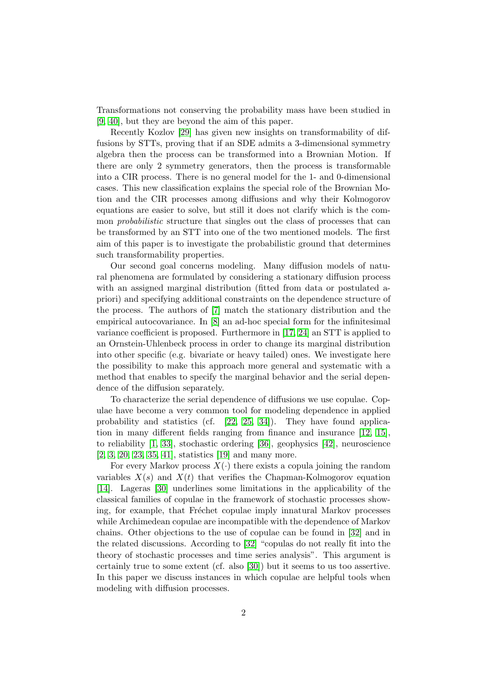Transformations not conserving the probability mass have been studied in [\[9,](#page-21-1) [40\]](#page-24-1), but they are beyond the aim of this paper.

Recently Kozlov [\[29\]](#page-23-1) has given new insights on transformability of diffusions by STTs, proving that if an SDE admits a 3-dimensional symmetry algebra then the process can be transformed into a Brownian Motion. If there are only 2 symmetry generators, then the process is transformable into a CIR process. There is no general model for the 1- and 0-dimensional cases. This new classification explains the special role of the Brownian Motion and the CIR processes among diffusions and why their Kolmogorov equations are easier to solve, but still it does not clarify which is the common probabilistic structure that singles out the class of processes that can be transformed by an STT into one of the two mentioned models. The first aim of this paper is to investigate the probabilistic ground that determines such transformability properties.

Our second goal concerns modeling. Many diffusion models of natural phenomena are formulated by considering a stationary diffusion process with an assigned marginal distribution (fitted from data or postulated apriori) and specifying additional constraints on the dependence structure of the process. The authors of [\[7\]](#page-21-2) match the stationary distribution and the empirical autocovariance. In [\[8\]](#page-21-3) an ad-hoc special form for the infinitesimal variance coefficient is proposed. Furthermore in [\[17,](#page-22-1) [24\]](#page-23-2) an STT is applied to an Ornstein-Uhlenbeck process in order to change its marginal distribution into other specific (e.g. bivariate or heavy tailed) ones. We investigate here the possibility to make this approach more general and systematic with a method that enables to specify the marginal behavior and the serial dependence of the diffusion separately.

To characterize the serial dependence of diffusions we use copulae. Copulae have become a very common tool for modeling dependence in applied probability and statistics (cf. [\[22,](#page-22-2) [25,](#page-23-3) [34\]](#page-23-4)). They have found application in many different fields ranging from finance and insurance [\[12,](#page-22-3) [15\]](#page-22-4), to reliability [\[1,](#page-21-4) [33\]](#page-23-5), stochastic ordering [\[36\]](#page-23-6), geophysics [\[42\]](#page-24-2), neuroscience [\[2,](#page-21-5) [3,](#page-21-6) [20,](#page-22-5) [23,](#page-22-6) [35,](#page-23-7) [41\]](#page-24-3), statistics [\[19\]](#page-22-7) and many more.

For every Markov process  $X(\cdot)$  there exists a copula joining the random variables  $X(s)$  and  $X(t)$  that verifies the Chapman-Kolmogorov equation [\[14\]](#page-22-8). Lageras [\[30\]](#page-23-8) underlines some limitations in the applicability of the classical families of copulae in the framework of stochastic processes showing, for example, that Fréchet copulae imply innatural Markov processes while Archimedean copulae are incompatible with the dependence of Markov chains. Other objections to the use of copulae can be found in [\[32\]](#page-23-9) and in the related discussions. According to [\[32\]](#page-23-9) "copulas do not really fit into the theory of stochastic processes and time series analysis". This argument is certainly true to some extent (cf. also [\[30\]](#page-23-8)) but it seems to us too assertive. In this paper we discuss instances in which copulae are helpful tools when modeling with diffusion processes.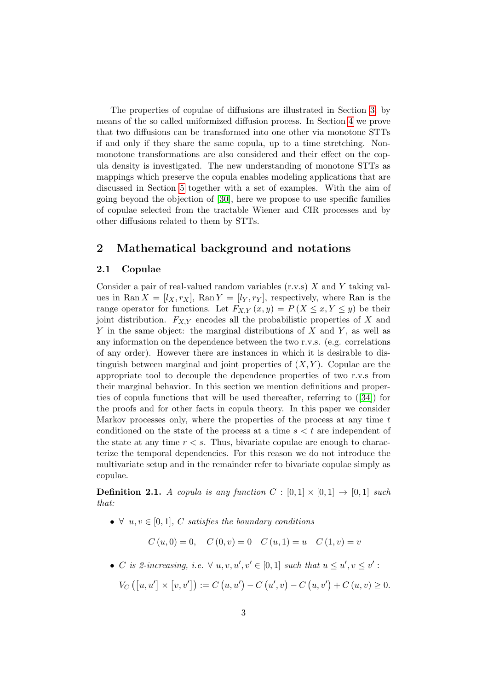The properties of copulae of diffusions are illustrated in Section [3,](#page-5-0) by means of the so called uniformized diffusion process. In Section [4](#page-9-0) we prove that two diffusions can be transformed into one other via monotone STTs if and only if they share the same copula, up to a time stretching. Nonmonotone transformations are also considered and their effect on the copula density is investigated. The new understanding of monotone STTs as mappings which preserve the copula enables modeling applications that are discussed in Section [5](#page-12-0) together with a set of examples. With the aim of going beyond the objection of [\[30\]](#page-23-8), here we propose to use specific families of copulae selected from the tractable Wiener and CIR processes and by other diffusions related to them by STTs.

### 2 Mathematical background and notations

### 2.1 Copulae

Consider a pair of real-valued random variables  $(r.v.s)$  X and Y taking values in Ran  $X = [l_X, r_X]$ , Ran  $Y = [l_Y, r_Y]$ , respectively, where Ran is the range operator for functions. Let  $F_{X,Y}(x,y) = P(X \leq x, Y \leq y)$  be their joint distribution.  $F_{X,Y}$  encodes all the probabilistic properties of X and Y in the same object: the marginal distributions of  $X$  and  $Y$ , as well as any information on the dependence between the two r.v.s. (e.g. correlations of any order). However there are instances in which it is desirable to distinguish between marginal and joint properties of  $(X, Y)$ . Copulae are the appropriate tool to decouple the dependence properties of two r.v.s from their marginal behavior. In this section we mention definitions and properties of copula functions that will be used thereafter, referring to([\[34\]](#page-23-4)) for the proofs and for other facts in copula theory. In this paper we consider Markov processes only, where the properties of the process at any time  $t$ conditioned on the state of the process at a time  $s < t$  are independent of the state at any time  $r < s$ . Thus, bivariate copulae are enough to characterize the temporal dependencies. For this reason we do not introduce the multivariate setup and in the remainder refer to bivariate copulae simply as copulae.

**Definition 2.1.** A copula is any function  $C : [0,1] \times [0,1] \rightarrow [0,1]$  such that:

•  $\forall u, v \in [0, 1], C \text{ satisfies the boundary conditions}$ 

 $C (u, 0) = 0, \quad C (0, v) = 0 \quad C (u, 1) = u \quad C (1, v) = v$ 

• C is 2-increasing, i.e.  $\forall u, v, u', v' \in [0,1]$  such that  $u \leq u', v \leq v'$ :

$$
V_C ([u, u'] \times [v, v']) := C (u, u') - C (u', v) - C (u, v') + C (u, v) \ge 0.
$$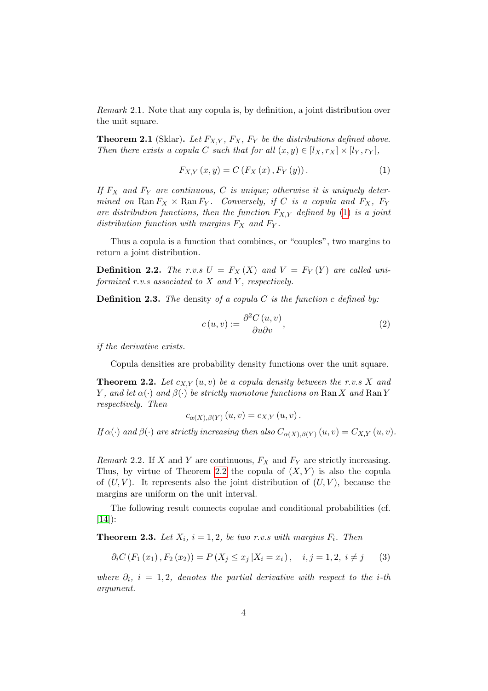Remark 2.1. Note that any copula is, by definition, a joint distribution over the unit square.

**Theorem 2.1** (Sklar). Let  $F_{XY}$ ,  $F_X$ ,  $F_Y$  be the distributions defined above. Then there exists a copula C such that for all  $(x, y) \in [l_X, r_X] \times [l_Y, r_Y]$ ,

<span id="page-3-0"></span>
$$
F_{X,Y}(x,y) = C(F_X(x), F_Y(y)).
$$
\n(1)

If  $F_X$  and  $F_Y$  are continuous, C is unique; otherwise it is uniquely determined on Ran  $F_X \times$  Ran  $F_Y$ . Conversely, if C is a copula and  $F_X$ ,  $F_Y$ are distribution functions, then the function  $F_{X,Y}$  defined by [\(1\)](#page-3-0) is a joint distribution function with margins  $F_X$  and  $F_Y$ .

Thus a copula is a function that combines, or "couples", two margins to return a joint distribution.

**Definition 2.2.** The r.v.s  $U = F_X(X)$  and  $V = F_Y(Y)$  are called uniformized  $r.v.s$  associated to  $X$  and  $Y$ , respectively.

**Definition 2.3.** The density of a copula C is the function c defined by:

$$
c(u,v) := \frac{\partial^2 C(u,v)}{\partial u \partial v},\tag{2}
$$

if the derivative exists.

Copula densities are probability density functions over the unit square.

<span id="page-3-1"></span>**Theorem 2.2.** Let  $c_{X,Y}(u, v)$  be a copula density between the r.v.s X and Y, and let  $\alpha(\cdot)$  and  $\beta(\cdot)$  be strictly monotone functions on Ran X and Ran Y respectively. Then

$$
c_{\alpha(X),\beta(Y)}(u,v) = c_{X,Y}(u,v).
$$

If  $\alpha(\cdot)$  and  $\beta(\cdot)$  are strictly increasing then also  $C_{\alpha(X),\beta(Y)}(u,v) = C_{X,Y}(u,v)$ .

Remark 2.2. If X and Y are continuous,  $F_X$  and  $F_Y$  are strictly increasing. Thus, by virtue of Theorem [2.2](#page-3-1) the copula of  $(X, Y)$  is also the copula of  $(U, V)$ . It represents also the joint distribution of  $(U, V)$ , because the margins are uniform on the unit interval.

The following result connects copulae and conditional probabilities (cf.  $[14]$ :

<span id="page-3-2"></span>**Theorem 2.3.** Let  $X_i$ ,  $i = 1, 2$ , be two r.v.s with margins  $F_i$ . Then

$$
\partial_i C(F_1(x_1), F_2(x_2)) = P(X_j \le x_j | X_i = x_i), \quad i, j = 1, 2, i \ne j \tag{3}
$$

where  $\partial_i$ , i = 1,2, denotes the partial derivative with respect to the i-th argument.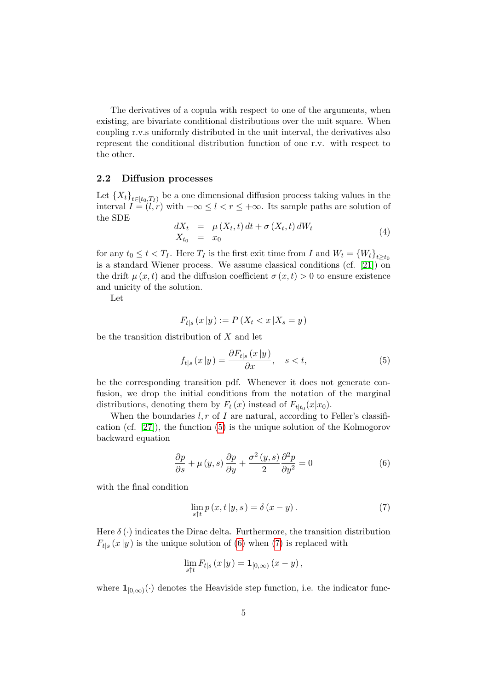The derivatives of a copula with respect to one of the arguments, when existing, are bivariate conditional distributions over the unit square. When coupling r.v.s uniformly distributed in the unit interval, the derivatives also represent the conditional distribution function of one r.v. with respect to the other.

#### 2.2 Diffusion processes

Let  ${X_t}_{t\in [t_0,T_I]}$  be a one dimensional diffusion process taking values in the interval  $I = (l, r)$  with  $-\infty \leq l < r \leq +\infty$ . Its sample paths are solution of the SDE

<span id="page-4-3"></span>
$$
dX_t = \mu(X_t, t) dt + \sigma(X_t, t) dW_t
$$
  
\n
$$
X_{t_0} = x_0
$$
\n(4)

for any  $t_0 \leq t < T_I$ . Here  $T_I$  is the first exit time from I and  $W_t = \{W_t\}_{t \geq t_0}$ is a standard Wiener process. We assume classical conditions (cf.  $[21]$ ) on the drift  $\mu(x, t)$  and the diffusion coefficient  $\sigma(x, t) > 0$  to ensure existence and unicity of the solution.

Let

$$
F_{t|s}(x|y) := P(X_t < x | X_s = y)
$$

be the transition distribution of  $X$  and let

<span id="page-4-0"></span>
$$
f_{t|s}(x|y) = \frac{\partial F_{t|s}(x|y)}{\partial x}, \quad s < t,
$$
\n<sup>(5)</sup>

be the corresponding transition pdf. Whenever it does not generate confusion, we drop the initial conditions from the notation of the marginal distributions, denoting them by  $F_t(x)$  instead of  $F_{t|t_0}(x|x_0)$ .

When the boundaries  $l, r$  of I are natural, according to Feller's classification (cf. [\[27\]](#page-23-10)), the function [\(5\)](#page-4-0) is the unique solution of the Kolmogorov backward equation

<span id="page-4-1"></span>
$$
\frac{\partial p}{\partial s} + \mu(y, s) \frac{\partial p}{\partial y} + \frac{\sigma^2(y, s)}{2} \frac{\partial^2 p}{\partial y^2} = 0
$$
 (6)

with the final condition

<span id="page-4-2"></span>
$$
\lim_{s \uparrow t} p(x, t | y, s) = \delta(x - y).
$$
\n(7)

Here  $\delta(\cdot)$  indicates the Dirac delta. Furthermore, the transition distribution  $F_{t|s}(x|y)$  is the unique solution of [\(6\)](#page-4-1) when [\(7\)](#page-4-2) is replaced with

$$
\lim_{s \uparrow t} F_{t|s} (x | y) = \mathbf{1}_{[0,\infty)} (x - y),
$$

where  $\mathbf{1}_{[0,\infty)}(\cdot)$  denotes the Heaviside step function, i.e. the indicator func-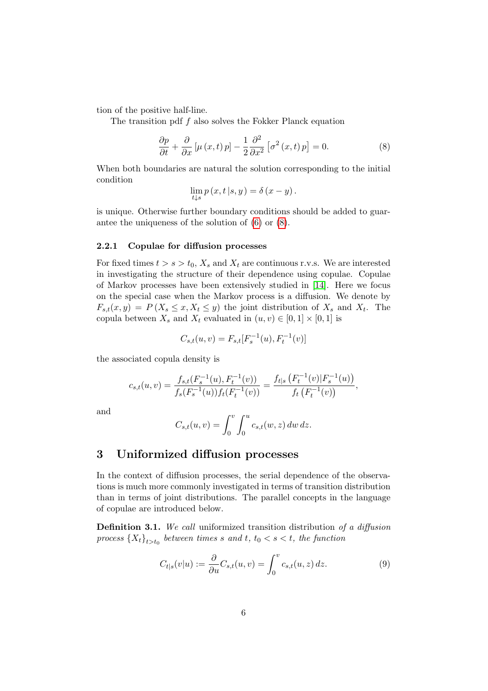tion of the positive half-line.

The transition pdf  $f$  also solves the Fokker Planck equation

<span id="page-5-1"></span>
$$
\frac{\partial p}{\partial t} + \frac{\partial}{\partial x} \left[ \mu \left( x, t \right) p \right] - \frac{1}{2} \frac{\partial^2}{\partial x^2} \left[ \sigma^2 \left( x, t \right) p \right] = 0. \tag{8}
$$

When both boundaries are natural the solution corresponding to the initial condition

$$
\lim_{t \downarrow s} p(x, t | s, y) = \delta(x - y).
$$

is unique. Otherwise further boundary conditions should be added to guarantee the uniqueness of the solution of [\(6\)](#page-4-1) or [\(8\)](#page-5-1).

#### 2.2.1 Copulae for diffusion processes

For fixed times  $t > s > t_0$ ,  $X_s$  and  $X_t$  are continuous r.v.s. We are interested in investigating the structure of their dependence using copulae. Copulae of Markov processes have been extensively studied in [\[14\]](#page-22-8). Here we focus on the special case when the Markov process is a diffusion. We denote by  $F_{s,t}(x,y) = P(X_s \le x, X_t \le y)$  the joint distribution of  $X_s$  and  $X_t$ . The copula between  $X_s$  and  $X_t$  evaluated in  $(u, v) \in [0, 1] \times [0, 1]$  is

$$
C_{s,t}(u,v) = F_{s,t}[F_s^{-1}(u), F_t^{-1}(v)]
$$

the associated copula density is

$$
c_{s,t}(u,v) = \frac{f_{s,t}(F_s^{-1}(u), F_t^{-1}(v))}{f_s(F_s^{-1}(u))f_t(F_t^{-1}(v))} = \frac{f_{t|s}(F_t^{-1}(v)|F_s^{-1}(u))}{f_t(F_t^{-1}(v))},
$$

and

$$
C_{s,t}(u,v) = \int_0^v \int_0^u c_{s,t}(w,z) \, dw \, dz.
$$

# <span id="page-5-0"></span>3 Uniformized diffusion processes

In the context of diffusion processes, the serial dependence of the observations is much more commonly investigated in terms of transition distribution than in terms of joint distributions. The parallel concepts in the language of copulae are introduced below.

Definition 3.1. We call uniformized transition distribution of a diffusion process  ${X_t}_{t>t_0}$  between times s and t,  $t_0 < s < t$ , the function

<span id="page-5-2"></span>
$$
C_{t|s}(v|u) := \frac{\partial}{\partial u} C_{s,t}(u,v) = \int_0^v c_{s,t}(u,z) dz.
$$
 (9)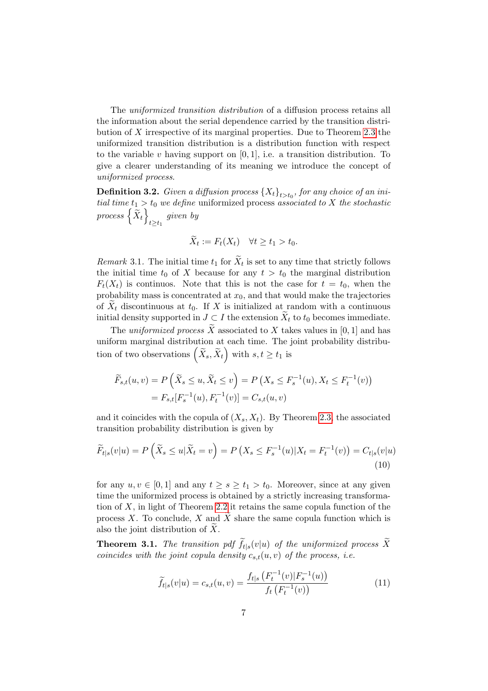The uniformized transition distribution of a diffusion process retains all the information about the serial dependence carried by the transition distribution of  $X$  irrespective of its marginal properties. Due to Theorem [2.3](#page-3-2) the uniformized transition distribution is a distribution function with respect to the variable v having support on  $[0, 1]$ , i.e. a transition distribution. To give a clearer understanding of its meaning we introduce the concept of uniformized process.

**Definition 3.2.** Given a diffusion process  $\{X_t\}_{t>t_0}$ , for any choice of an initial time  $t_1 > t_0$  we define uniformized process associated to X the stochastic process  $\left\{ \widetilde{X}_{t}\right\}$  $\lim_{t\geq t_1}$  given by

$$
\widetilde{X}_t := F_t(X_t) \quad \forall t \ge t_1 > t_0.
$$

Remark 3.1. The initial time  $t_1$  for  $X_t$  is set to any time that strictly follows the initial time  $t_0$  of X because for any  $t > t_0$  the marginal distribution  $F_t(X_t)$  is continuos. Note that this is not the case for  $t = t_0$ , when the probability mass is concentrated at  $x_0$ , and that would make the trajectories of  $\tilde{X}_t$  discontinuous at  $t_0$ . If X is initialized at random with a continuous initial density supported in  $J \subset I$  the extension  $\widetilde{X}_t$  to  $t_0$  becomes immediate.

The uniformized process  $\widetilde{X}$  associated to X takes values in [0, 1] and has uniform marginal distribution at each time. The joint probability distribution of two observations  $(\widetilde{X}_s, \widetilde{X}_t)$  with  $s, t \ge t_1$  is

$$
\widetilde{F}_{s,t}(u,v) = P\left(\widetilde{X}_s \le u, \widetilde{X}_t \le v\right) = P\left(X_s \le F_s^{-1}(u), X_t \le F_t^{-1}(v)\right)
$$
\n
$$
= F_{s,t}[F_s^{-1}(u), F_t^{-1}(v)] = C_{s,t}(u,v)
$$

and it coincides with the copula of  $(X_s, X_t)$ . By Theorem [2.3,](#page-3-2) the associated transition probability distribution is given by

$$
\widetilde{F}_{t|s}(v|u) = P\left(\widetilde{X}_s \le u|\widetilde{X}_t = v\right) = P\left(X_s \le F_s^{-1}(u)|X_t = F_t^{-1}(v)\right) = C_{t|s}(v|u)
$$
\n
$$
(10)
$$

for any  $u, v \in [0, 1]$  and any  $t \geq s \geq t_1 > t_0$ . Moreover, since at any given time the uniformized process is obtained by a strictly increasing transformation of  $X$ , in light of Theorem [2.2](#page-3-1) it retains the same copula function of the process X. To conclude, X and  $\overline{X}$  share the same copula function which is also the joint distribution of  $X$ .

**Theorem 3.1.** The transition pdf  $f_{t|s}(v|u)$  of the uniformized process X coincides with the joint copula density  $c_{s,t}(u, v)$  of the process, i.e.

<span id="page-6-1"></span><span id="page-6-0"></span>
$$
\widetilde{f}_{t|s}(v|u) = c_{s,t}(u,v) = \frac{f_{t|s}\left(F_t^{-1}(v)|F_s^{-1}(u)\right)}{f_t\left(F_t^{-1}(v)\right)}
$$
\n(11)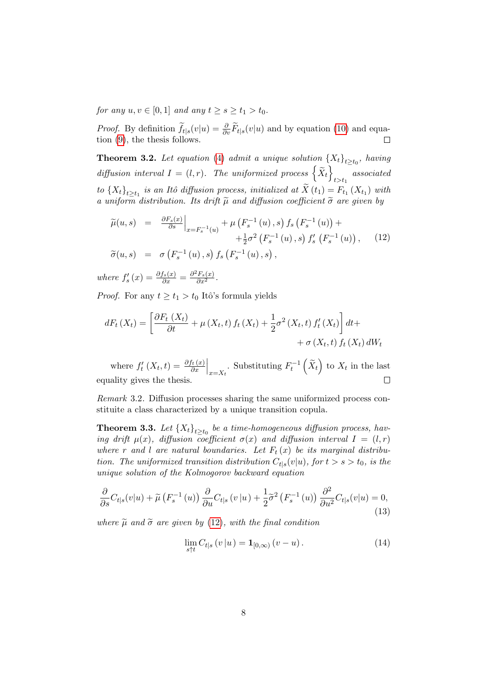for any  $u, v \in [0, 1]$  and any  $t \geq s \geq t_1 > t_0$ .

*Proof.* By definition  $\tilde{f}_{t|s}(v|u) = \frac{\partial}{\partial v}\tilde{F}_{t|s}(v|u)$  and by equation [\(10\)](#page-6-0) and equation [\(9\)](#page-5-2), the thesis follows.

**Theorem 3.2.** Let equation [\(4\)](#page-4-3) admit a unique solution  $\{X_t\}_{t\geq t_0}$ , having diffusion interval  $I = (l, r)$ . The uniformized process  $\left\{ \widetilde{X}_t \right\}$  $\emph{associated}$ to  ${X_t}_{t\geq t_1}$  is an Itô diffusion process, initialized at  $X(t_1) = F_{t_1}(X_{t_1})$  with a uniform distribution. Its drift  $\tilde{\mu}$  and diffusion coefficient  $\tilde{\sigma}$  are given by

<span id="page-7-0"></span>
$$
\widetilde{\mu}(u,s) = \frac{\partial F_s(x)}{\partial s}\Big|_{x = F_s^{-1}(u)} + \mu\left(F_s^{-1}(u), s\right) f_s\left(F_s^{-1}(u)\right) + \n+ \frac{1}{2}\sigma^2 \left(F_s^{-1}(u), s\right) f'_s\left(F_s^{-1}(u)\right), \quad (12)
$$
\n
$$
\widetilde{\sigma}(u,s) = \sigma\left(F_s^{-1}(u), s\right) f_s\left(F_s^{-1}(u), s\right),
$$

where  $f'_{s}(x) = \frac{\partial f_{s}(x)}{\partial x} = \frac{\partial^{2} F_{s}(x)}{\partial x^{2}}$ .

*Proof.* For any  $t \geq t_1 > t_0$  Itô's formula yields

$$
dF_t(X_t) = \left[\frac{\partial F_t(X_t)}{\partial t} + \mu(X_t, t) f_t(X_t) + \frac{1}{2}\sigma^2(X_t, t) f'_t(X_t)\right] dt + \left. + \sigma(X_t, t) f_t(X_t) dW_t\right.
$$

where  $f'_t(X_t,t) = \frac{\partial f_t(x)}{\partial x}\Big|_{x=X_t}$ . Substituting  $F_t^{-1}(\tilde{X}_t)$  to  $X_t$  in the last equality gives the thesis.

Remark 3.2. Diffusion processes sharing the same uniformized process constituite a class characterized by a unique transition copula.

<span id="page-7-2"></span>**Theorem 3.3.** Let  ${X_t}_{t\geq t_0}$  be a time-homogeneous diffusion process, having drift  $\mu(x)$ , diffusion coefficient  $\sigma(x)$  and diffusion interval  $I = (l, r)$ where r and l are natural boundaries. Let  $F_t(x)$  be its marginal distribution. The uniformized transition distribution  $C_{t|s}(v|u)$ , for  $t > s > t_0$ , is the unique solution of the Kolmogorov backward equation

<span id="page-7-1"></span>
$$
\frac{\partial}{\partial s}C_{t|s}(v|u) + \widetilde{\mu}\left(F_s^{-1}\left(u\right)\right)\frac{\partial}{\partial u}C_{t|s}\left(v|u\right) + \frac{1}{2}\widetilde{\sigma}^2\left(F_s^{-1}\left(u\right)\right)\frac{\partial^2}{\partial u^2}C_{t|s}(v|u) = 0,\tag{13}
$$

where  $\tilde{\mu}$  and  $\tilde{\sigma}$  are given by [\(12\)](#page-7-0), with the final condition

<span id="page-7-3"></span>
$$
\lim_{s \uparrow t} C_{t|s} (v | u) = \mathbf{1}_{[0,\infty)} (v - u).
$$
 (14)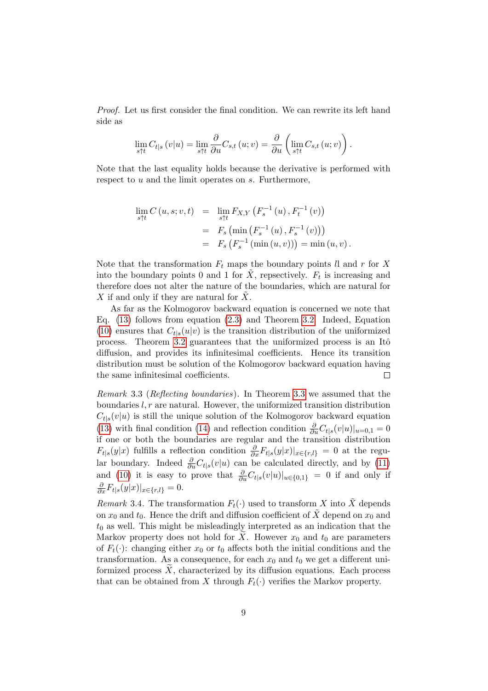Proof. Let us first consider the final condition. We can rewrite its left hand side as

$$
\lim_{s \uparrow t} C_{t|s} (v|u) = \lim_{s \uparrow t} \frac{\partial}{\partial u} C_{s,t} (u; v) = \frac{\partial}{\partial u} \left( \lim_{s \uparrow t} C_{s,t} (u; v) \right).
$$

Note that the last equality holds because the derivative is performed with respect to u and the limit operates on s. Furthermore,

$$
\lim_{s \uparrow t} C(u, s; v, t) = \lim_{s \uparrow t} F_{X,Y} (F_s^{-1}(u), F_t^{-1}(v))
$$
  
=  $F_s (\min (F_s^{-1}(u), F_s^{-1}(v)))$   
=  $F_s (F_s^{-1} (\min (u, v))) = \min (u, v).$ 

Note that the transformation  $F_t$  maps the boundary points ll and r for X into the boundary points 0 and 1 for  $\tilde{X}$ , repsectively.  $F_t$  is increasing and therefore does not alter the nature of the boundaries, which are natural for  $X$  if and only if they are natural for  $X$ .

As far as the Kolmogorov backward equation is concerned we note that Eq. [\(13\)](#page-7-1) follows from equation [\(2.3\)](#page-3-2) and Theorem [3.2.](#page-7-0) Indeed, Equation [\(10\)](#page-6-0) ensures that  $C_{t|s}(u|v)$  is the transition distribution of the uniformized process. Theorem [3.2](#page-7-0) guarantees that the uniformized process is an Itô diffusion, and provides its infinitesimal coefficients. Hence its transition distribution must be solution of the Kolmogorov backward equation having the same infinitesimal coefficients.  $\Box$ 

Remark 3.3 (Reflecting boundaries). In Theorem [3.3](#page-7-2) we assumed that the boundaries  $l, r$  are natural. However, the uniformized transition distribution  $C_{t|s}(v|u)$  is still the unique solution of the Kolmogorov backward equation [\(13\)](#page-7-1) with final condition [\(14\)](#page-7-3) and reflection condition  $\frac{\partial}{\partial u}C_{t|s}(v|u)|_{u=0,1} = 0$ if one or both the boundaries are regular and the transition distribution  $F_{t|s}(y|x)$  fulfills a reflection condition  $\frac{\partial}{\partial x}F_{t|s}(y|x)|_{x\in\{r,l\}}=0$  at the regular boundary. Indeed  $\frac{\partial}{\partial u}C_{t|s}(v|u)$  can be calculated directly, and by [\(11\)](#page-6-1) and [\(10\)](#page-6-0) it is easy to prove that  $\frac{\partial}{\partial u}C_{t|s}(v|u)|_{u\in\{0,1\}} = 0$  if and only if  $\frac{\partial}{\partial x}F_{t|s}(y|x)|_{x\in\{r,l\}}=0.$ 

Remark 3.4. The transformation  $F_t(\cdot)$  used to transform X into  $\tilde{X}$  depends on  $x_0$  and  $t_0$ . Hence the drift and diffusion coefficient of  $\tilde{X}$  depend on  $x_0$  and  $t_0$  as well. This might be misleadingly interpreted as an indication that the Markov property does not hold for X. However  $x_0$  and  $t_0$  are parameters of  $F_t(\cdot)$ : changing either  $x_0$  or  $t_0$  affects both the initial conditions and the transformation. As a consequence, for each  $x_0$  and  $t_0$  we get a different uniformized process  $X$ , characterized by its diffusion equations. Each process that can be obtained from X through  $F_t(\cdot)$  verifies the Markov property.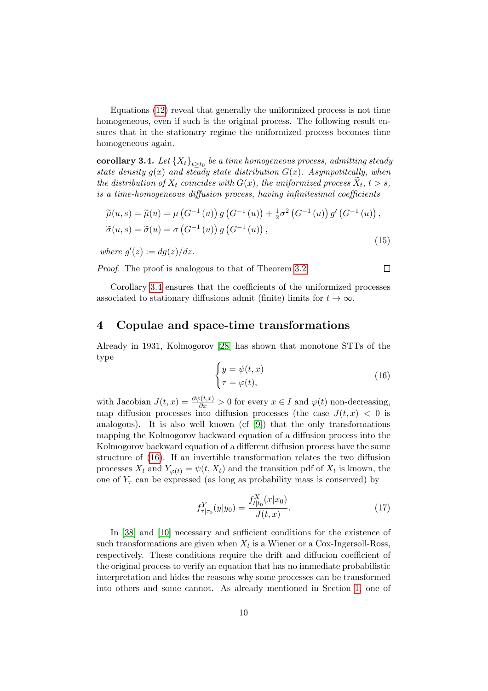Equations [\(12\)](#page-7-0) reveal that generally the uniformized process is not time homogeneous, even if such is the original process. The following result ensures that in the stationary regime the uniformized process becomes time homogeneous again.

 $\textbf{corollary 3.4.}$  Let  $\left\{X_t\right\}_{t\geq t_0}$  be a time homogeneous process, admitting steady state density  $g(x)$  and steady state distribution  $G(x)$ . Asympotitcally, when the distribution of  $X_t$  coincides with  $G(x)$ , the uniformized process  $X_t$ ,  $t > s$ , is a time-homogeneous diffusion process, having infinitesimal coefficients

<span id="page-9-1"></span>
$$
\widetilde{\mu}(u,s) = \widetilde{\mu}(u) = \mu\left(G^{-1}\left(u\right)\right)g\left(G^{-1}\left(u\right)\right) + \frac{1}{2}\sigma^2\left(G^{-1}\left(u\right)\right)g'\left(G^{-1}\left(u\right)\right),\n\widetilde{\sigma}(u,s) = \widetilde{\sigma}(u) = \sigma\left(G^{-1}\left(u\right)\right)g\left(G^{-1}\left(u\right)\right),
$$
\n(15)

where  $g'(z) := dg(z)/dz$ .

Proof. The proof is analogous to that of Theorem [3.2.](#page-7-0)

 $\Box$ 

Corollary [3.4](#page-9-1) ensures that the coefficients of the uniformized processes associated to stationary diffusions admit (finite) limits for  $t \to \infty$ .

### <span id="page-9-0"></span>4 Copulae and space-time transformations

Already in 1931, Kolmogorov [\[28\]](#page-23-0) has shown that monotone STTs of the type

<span id="page-9-2"></span>
$$
\begin{cases}\ny = \psi(t, x) \\
\tau = \varphi(t),\n\end{cases} \tag{16}
$$

with Jacobian  $J(t,x) = \frac{\partial \psi(t,x)}{\partial x} > 0$  for every  $x \in I$  and  $\varphi(t)$  non-decreasing, map diffusion processes into diffusion processes (the case  $J(t, x) < 0$  is analogous). It is also well known (cf [\[9\]](#page-21-1)) that the only transformations mapping the Kolmogorov backward equation of a diffusion process into the Kolmogorov backward equation of a different diffusion process have the same structure of [\(16\)](#page-9-2). If an invertible transformation relates the two diffusion processes  $X_t$  and  $Y_{\varphi(t)} = \psi(t, X_t)$  and the transition pdf of  $X_t$  is known, the one of  $Y_\tau$  can be expressed (as long as probability mass is conserved) by

$$
f_{\tau|\tau_0}^Y(y|y_0) = \frac{f_{t|t_0}^X(x|x_0)}{J(t,x)}.\tag{17}
$$

In [\[38\]](#page-24-0) and [\[10\]](#page-21-0) necessary and sufficient conditions for the existence of such transformations are given when  $X_t$  is a Wiener or a Cox-Ingersoll-Ross, respectively. These conditions require the drift and diffucion coefficient of the original process to verify an equation that has no immediate probabilistic interpretation and hides the reasons why some processes can be transformed into others and some cannot. As already mentioned in Section [1,](#page-0-0) one of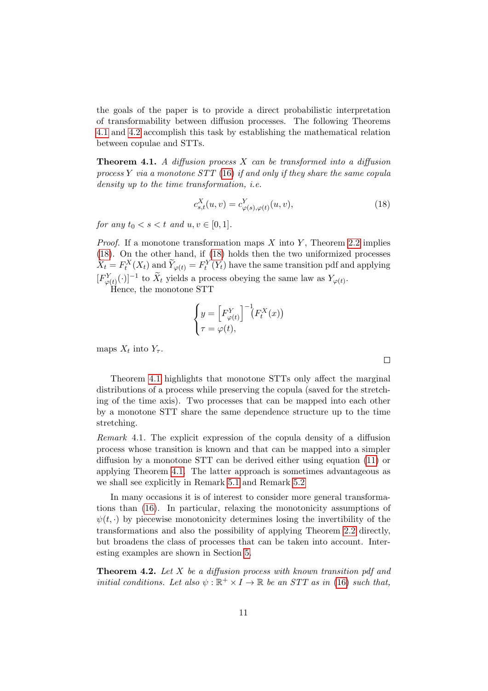the goals of the paper is to provide a direct probabilistic interpretation of transformability between diffusion processes. The following Theorems [4.1](#page-10-0) and [4.2](#page-10-1) accomplish this task by establishing the mathematical relation between copulae and STTs.

<span id="page-10-0"></span>**Theorem 4.1.** A diffusion process  $X$  can be transformed into a diffusion process  $Y$  via a monotone  $STT(16)$  $STT(16)$  if and only if they share the same copula density up to the time transformation, i.e.

<span id="page-10-2"></span>
$$
c_{s,t}^X(u,v) = c_{\varphi(s),\varphi(t)}^Y(u,v),
$$
\n(18)

for any  $t_0 < s < t$  and  $u, v \in [0, 1]$ .

*Proof.* If a monotone transformation maps  $X$  into  $Y$ , Theorem [2.2](#page-3-1) implies [\(18\)](#page-10-2). On the other hand, if [\(18\)](#page-10-2) holds then the two uniformized processes  $\widetilde{X}_t = F_t^X(X_t)$  and  $\widetilde{Y}_{\varphi(t)} = F_t^Y(Y_t)$  have the same transition pdf and applying  $[F^Y_{\varphi(t)}(\cdot)]^{-1}$  to  $\widetilde{X}_t$  yields a process obeying the same law as  $Y_{\varphi(t)}$ .

Hence, the monotone STT

$$
\begin{cases}\ny = \left[F_{\varphi(t)}^Y\right]^{-1} \left(F_t^X(x)\right) \\
\tau = \varphi(t),\n\end{cases}
$$

maps  $X_t$  into  $Y_\tau$ .

Theorem [4.1](#page-10-0) highlights that monotone STTs only affect the marginal distributions of a process while preserving the copula (saved for the stretching of the time axis). Two processes that can be mapped into each other by a monotone STT share the same dependence structure up to the time stretching.

Remark 4.1. The explicit expression of the copula density of a diffusion process whose transition is known and that can be mapped into a simpler diffusion by a monotone STT can be derived either using equation [\(11\)](#page-6-1) or applying Theorem [4.1.](#page-10-0) The latter approach is sometimes advantageous as we shall see explicitly in Remark [5.1](#page-14-0) and Remark [5.2](#page-16-0)

In many occasions it is of interest to consider more general transformations than [\(16\)](#page-9-2). In particular, relaxing the monotonicity assumptions of  $\psi(t, \cdot)$  by piecewise monotonicity determines losing the invertibility of the transformations and also the possibility of applying Theorem [2.2](#page-3-1) directly, but broadens the class of processes that can be taken into account. Interesting examples are shown in Section [5.](#page-12-0)

<span id="page-10-1"></span>**Theorem 4.2.** Let  $X$  be a diffusion process with known transition pdf and initial conditions. Let also  $\psi : \mathbb{R}^+ \times I \to \mathbb{R}$  be an STT as in [\(16\)](#page-9-2) such that,

 $\Box$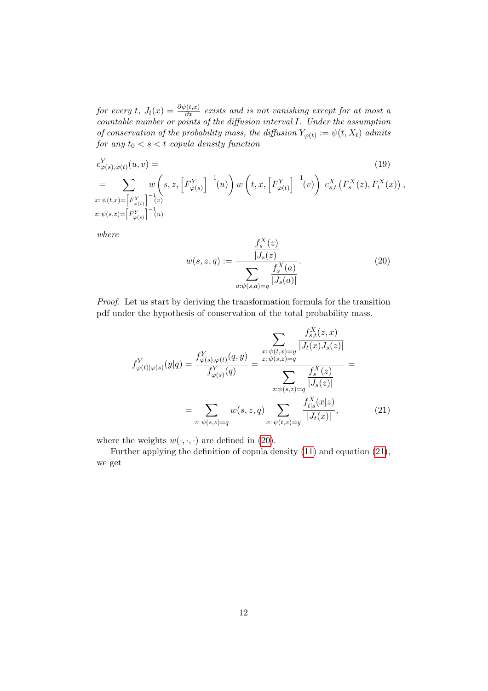for every t,  $J_t(x) = \frac{\partial \psi(t,x)}{\partial x}$  exists and is not vanishing except for at most a countable number or points of the diffusion interval I. Under the assumption of conservation of the probability mass, the diffusion  $Y_{\varphi(t)} := \psi(t, X_t)$  admits for any  $t_0 < s < t$  copula density function

$$
c_{\varphi(s),\varphi(t)}^{Y}(u,v) = \n\sum_{x:\,\psi(t,x) = \left[F_{\varphi(t)}^{Y}\right]^{-1}(v)} w\left(s, z, \left[F_{\varphi(s)}^{Y}\right]^{-1}(u)\right) w\left(t, x, \left[F_{\varphi(t)}^{Y}\right]^{-1}(v)\right) c_{s,t}^{X}\left(F_{s}^{X}(z), F_{t}^{X}(x)\right),\n\nx:\psi(s,z) = \left[F_{\varphi(s)}^{Y}\right]^{-1}(u)\n\tag{19}
$$

where

<span id="page-11-2"></span><span id="page-11-1"></span><span id="page-11-0"></span>
$$
w(s, z, q) := \frac{\frac{f_s^X(z)}{|J_s(z)|}}{\sum_{a:\psi(s,a)=q} \frac{f_s^X(a)}{|J_s(a)|}}.
$$
 (20)

Proof. Let us start by deriving the transformation formula for the transition pdf under the hypothesis of conservation of the total probability mass.

$$
f_{\varphi(t)|\varphi(s)}^{Y}(y|q) = \frac{f_{\varphi(s),\varphi(t)}^{Y}(q,y)}{f_{\varphi(s)}^{Y}(q)} = \frac{\sum_{z:\psi(t,x)=y} \frac{f_{s,t}^{X}(z,x)}{|J_{t}(x)J_{s}(z)|}}{\sum_{z:\psi(s,z)=q} \frac{f_{s}^{X}(z)}{|J_{s}(z)|}} = \frac{\sum_{z:\psi(s,z)=q} \frac{f_{s}^{X}(z)}{|J_{s}(z)|}}{\sum_{z:\psi(s,z)=q} \frac{f_{t|s}^{X}(x|z)}{|J_{t}(x)|}},
$$
\n
$$
(21)
$$

where the weights  $w(\cdot, \cdot, \cdot)$  are defined in [\(20\)](#page-11-0).

Further applying the definition of copula density [\(11\)](#page-6-1) and equation [\(21\)](#page-11-1), we get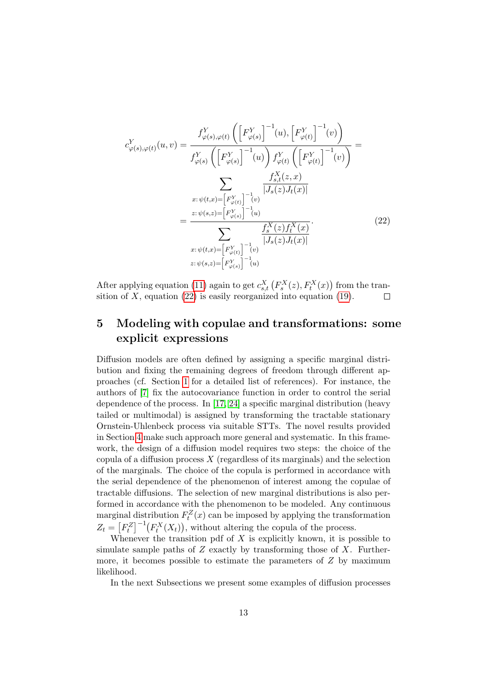<span id="page-12-1"></span>
$$
c_{\varphi(s),\varphi(t)}^{Y}(u,v) = \frac{f_{\varphi(s),\varphi(t)}^{Y}\left(\left[F_{\varphi(s)}^{Y}\right]^{-1}(u),\left[F_{\varphi(t)}^{Y}\right]^{-1}(v)\right)}{f_{\varphi(s)}^{Y}\left(\left[F_{\varphi(s)}^{Y}\right]^{-1}(u)\right)f_{\varphi(t)}^{Y}\left(\left[F_{\varphi(t)}^{Y}\right]^{-1}(v)\right)}
$$
\n
$$
= \frac{\sum_{x:\psi(t,x)=[F_{\varphi(t)}^{Y}\right]^{-1}(v)}\frac{f_{s,t}^{X}(z,x)}{|J_{s}(z)J_{t}(x)|}}{[\sum_{x:\psi(s,z)=[F_{\varphi(s)}^{Y}\right]^{-1}(u)}}
$$
\n
$$
= \frac{\sum_{x:\psi(t,x)=[F_{\varphi(t)}^{Y}\right]^{-1}(u)}\frac{f_{s}^{X}(z)f_{t}^{X}(x)}{|J_{s}(z)J_{t}(x)|}}{[\sum_{x:\psi(s,z)=[F_{\varphi(s)}^{Y}\right]^{-1}(u)}}.
$$
\n(22)

After applying equation [\(11\)](#page-6-1) again to get  $c_{s,t}^X(F_s^X(z), F_t^X(x))$  from the transition of X, equation  $(22)$  is easily reorganized into equation  $(19)$ .  $\Box$ 

# <span id="page-12-0"></span>5 Modeling with copulae and transformations: some explicit expressions

Diffusion models are often defined by assigning a specific marginal distribution and fixing the remaining degrees of freedom through different approaches (cf. Section [1](#page-0-0) for a detailed list of references). For instance, the authors of [\[7\]](#page-21-2) fix the autocovariance function in order to control the serial dependence of the process. In [\[17,](#page-22-1) [24\]](#page-23-2) a specific marginal distribution (heavy tailed or multimodal) is assigned by transforming the tractable stationary Ornstein-Uhlenbeck process via suitable STTs. The novel results provided in Section [4](#page-9-0) make such approach more general and systematic. In this framework, the design of a diffusion model requires two steps: the choice of the copula of a diffusion process  $X$  (regardless of its marginals) and the selection of the marginals. The choice of the copula is performed in accordance with the serial dependence of the phenomenon of interest among the copulae of tractable diffusions. The selection of new marginal distributions is also performed in accordance with the phenomenon to be modeled. Any continuous marginal distribution  $F_t^Z(x)$  can be imposed by applying the transformation  $Z_t = [F_t^Z]^{-1}(F_t^X(X_t)),$  without altering the copula of the process.

Whenever the transition pdf of  $X$  is explicitly known, it is possible to simulate sample paths of  $Z$  exactly by transforming those of  $X$ . Furthermore, it becomes possible to estimate the parameters of  $Z$  by maximum likelihood.

In the next Subsections we present some examples of diffusion processes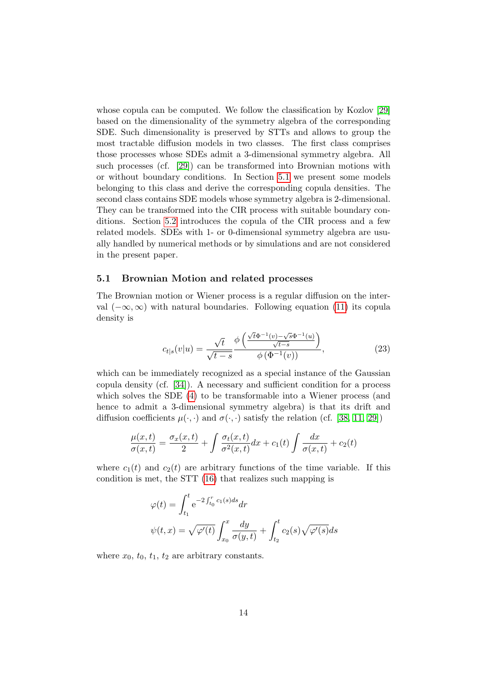whose copula can be computed. We follow the classification by Kozlov [\[29\]](#page-23-1) based on the dimensionality of the symmetry algebra of the corresponding SDE. Such dimensionality is preserved by STTs and allows to group the most tractable diffusion models in two classes. The first class comprises those processes whose SDEs admit a 3-dimensional symmetry algebra. All such processes (cf. [\[29\]](#page-23-1)) can be transformed into Brownian motions with or without boundary conditions. In Section [5.1](#page-13-0) we present some models belonging to this class and derive the corresponding copula densities. The second class contains SDE models whose symmetry algebra is 2-dimensional. They can be transformed into the CIR process with suitable boundary conditions. Section [5.2](#page-15-0) introduces the copula of the CIR process and a few related models. SDEs with 1- or 0-dimensional symmetry algebra are usually handled by numerical methods or by simulations and are not considered in the present paper.

#### <span id="page-13-0"></span>5.1 Brownian Motion and related processes

The Brownian motion or Wiener process is a regular diffusion on the interval  $(-\infty, \infty)$  with natural boundaries. Following equation [\(11\)](#page-6-1) its copula density is

$$
c_{t|s}(v|u) = \frac{\sqrt{t}}{\sqrt{t-s}} \frac{\phi\left(\frac{\sqrt{t}\Phi^{-1}(v) - \sqrt{s}\Phi^{-1}(u)}{\sqrt{t-s}}\right)}{\phi\left(\Phi^{-1}(v)\right)},
$$
\n(23)

which can be immediately recognized as a special instance of the Gaussian copula density (cf. [\[34\]](#page-23-4)). A necessary and sufficient condition for a process which solves the SDE [\(4\)](#page-4-3) to be transformable into a Wiener process (and hence to admit a 3-dimensional symmetry algebra) is that its drift and diffusion coefficients  $\mu(\cdot, \cdot)$  and  $\sigma(\cdot, \cdot)$  satisfy the relation (cf. [\[38,](#page-24-0) [11,](#page-22-0) [29\]](#page-23-1))

$$
\frac{\mu(x,t)}{\sigma(x,t)} = \frac{\sigma_x(x,t)}{2} + \int \frac{\sigma_t(x,t)}{\sigma^2(x,t)} dx + c_1(t) \int \frac{dx}{\sigma(x,t)} + c_2(t)
$$

where  $c_1(t)$  and  $c_2(t)$  are arbitrary functions of the time variable. If this condition is met, the STT [\(16\)](#page-9-2) that realizes such mapping is

$$
\varphi(t) = \int_{t_1}^t e^{-2\int_{t_0}^r c_1(s)ds} dr
$$
  

$$
\psi(t, x) = \sqrt{\varphi'(t)} \int_{x_0}^x \frac{dy}{\sigma(y, t)} + \int_{t_2}^t c_2(s) \sqrt{\varphi'(s)} ds
$$

where  $x_0$ ,  $t_0$ ,  $t_1$ ,  $t_2$  are arbitrary constants.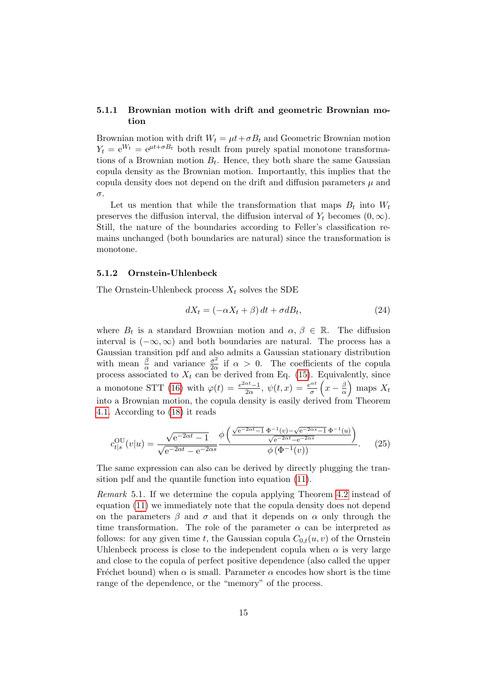### 5.1.1 Brownian motion with drift and geometric Brownian motion

Brownian motion with drift  $W_t = \mu t + \sigma B_t$  and Geometric Brownian motion  $Y_t = e^{W_t} = e^{\mu t + \sigma B_t}$  both result from purely spatial monotone transformations of a Brownian motion  $B_t$ . Hence, they both share the same Gaussian copula density as the Brownian motion. Importantly, this implies that the copula density does not depend on the drift and diffusion parameters  $\mu$  and σ.

Let us mention that while the transformation that maps  $B_t$  into  $W_t$ preserves the diffusion interval, the diffusion interval of  $Y_t$  becomes  $(0, \infty)$ . Still, the nature of the boundaries according to Feller's classification remains unchanged (both boundaries are natural) since the transformation is monotone.

### 5.1.2 Ornstein-Uhlenbeck

The Ornstein-Uhlenbeck process  $X_t$  solves the SDE

<span id="page-14-1"></span>
$$
dX_t = (-\alpha X_t + \beta) dt + \sigma dB_t, \qquad (24)
$$

where  $B_t$  is a standard Brownian motion and  $\alpha, \beta \in \mathbb{R}$ . The diffusion interval is  $(-\infty, \infty)$  and both boundaries are natural. The process has a Gaussian transition pdf and also admits a Gaussian stationary distribution with mean  $\frac{\beta}{\alpha}$  and variance  $\frac{\sigma^2}{2\alpha}$  $\frac{\sigma^2}{2\alpha}$  if  $\alpha > 0$ . The coefficients of the copula process associated to  $X_t$  can be derived from Eq. [\(15\)](#page-9-1). Equivalently, since a monotone STT [\(16\)](#page-9-2) with  $\varphi(t) = \frac{e^{2\alpha t}-1}{2\alpha}$  $\frac{\alpha t - 1}{2\alpha}, \psi(t, x) = \frac{e^{\alpha t}}{\sigma}$  $\frac{e^{\alpha t}}{\sigma}\left(x-\frac{\beta}{\alpha}\right)$  $\frac{\beta}{\alpha}$  maps  $X_t$ into a Brownian motion, the copula density is easily derived from Theorem [4.1.](#page-10-0) According to [\(18\)](#page-10-2) it reads

<span id="page-14-2"></span>
$$
c_{t|s}^{OU}(v|u) = \frac{\sqrt{e^{-2\alpha t} - 1}}{\sqrt{e^{-2\alpha t} - e^{-2\alpha s}}} \frac{\phi\left(\frac{\sqrt{e^{-2\alpha t} - 1} \Phi^{-1}(v) - \sqrt{e^{-2\alpha s} - 1} \Phi^{-1}(u)}{\sqrt{e^{-2\alpha t} - e^{-2\alpha s}}}\right)}{\phi\left(\Phi^{-1}(v)\right)}.
$$
 (25)

The same expression can also can be derived by directly plugging the transition pdf and the quantile function into equation [\(11\)](#page-6-1).

<span id="page-14-0"></span>Remark 5.1. If we determine the copula applying Theorem [4.2](#page-10-1) instead of equation [\(11\)](#page-6-1) we immediately note that the copula density does not depend on the parameters  $\beta$  and  $\sigma$  and that it depends on  $\alpha$  only through the time transformation. The role of the parameter  $\alpha$  can be interpreted as follows: for any given time t, the Gaussian copula  $C_{0,t}(u, v)$  of the Ornstein Uhlenbeck process is close to the independent copula when  $\alpha$  is very large and close to the copula of perfect positive dependence (also called the upper Fréchet bound) when  $\alpha$  is small. Parameter  $\alpha$  encodes how short is the time range of the dependence, or the "memory" of the process.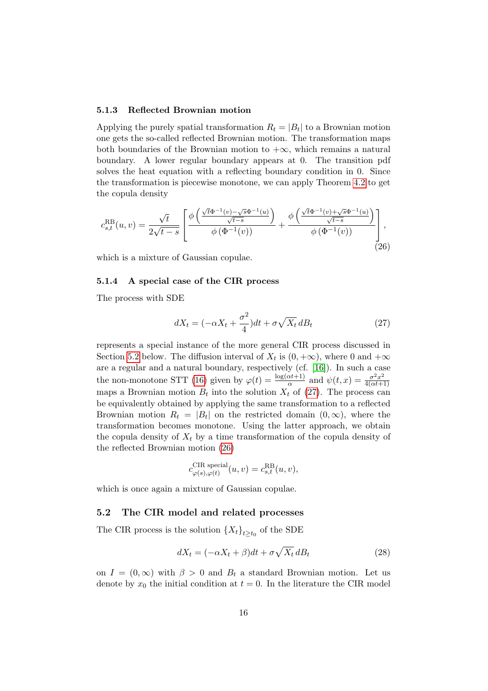#### 5.1.3 Reflected Brownian motion

Applying the purely spatial transformation  $R_t = |B_t|$  to a Brownian motion one gets the so-called reflected Brownian motion. The transformation maps both boundaries of the Brownian motion to  $+\infty$ , which remains a natural boundary. A lower regular boundary appears at 0. The transition pdf solves the heat equation with a reflecting boundary condition in 0. Since the transformation is piecewise monotone, we can apply Theorem [4.2](#page-10-1) to get the copula density

<span id="page-15-2"></span>
$$
c_{s,t}^{\text{RB}}(u,v) = \frac{\sqrt{t}}{2\sqrt{t-s}} \left[ \frac{\phi\left(\frac{\sqrt{t}\Phi^{-1}(v) - \sqrt{s}\Phi^{-1}(u)}{\sqrt{t-s}}\right)}{\phi\left(\Phi^{-1}(v)\right)} + \frac{\phi\left(\frac{\sqrt{t}\Phi^{-1}(v) + \sqrt{s}\Phi^{-1}(u)}{\sqrt{t-s}}\right)}{\phi\left(\Phi^{-1}(v)\right)} \right],
$$
\n(26)

which is a mixture of Gaussian copulae.

#### <span id="page-15-3"></span>5.1.4 A special case of the CIR process

The process with SDE

<span id="page-15-1"></span>
$$
dX_t = (-\alpha X_t + \frac{\sigma^2}{4})dt + \sigma\sqrt{X_t} dB_t
$$
\n(27)

represents a special instance of the more general CIR process discussed in Section [5.2](#page-15-0) below. The diffusion interval of  $X_t$  is  $(0, +\infty)$ , where 0 and  $+\infty$ are a regular and a natural boundary, respectively (cf. [\[16\]](#page-22-10)). In such a case the non-monotone STT [\(16\)](#page-9-2) given by  $\varphi(t) = \frac{\log(\alpha t + 1)}{\alpha}$  and  $\psi(t, x) = \frac{\sigma^2 x^2}{4(\alpha t + 1)}$  $4(\alpha t+1)$ maps a Brownian motion  $B_t$  into the solution  $X_t$  of [\(27\)](#page-15-1). The process can be equivalently obtained by applying the same transformation to a reflected Brownian motion  $R_t = |B_t|$  on the restricted domain  $(0, \infty)$ , where the transformation becomes monotone. Using the latter approach, we obtain the copula density of  $X_t$  by a time transformation of the copula density of the reflected Brownian motion [\(26\)](#page-15-2)

$$
c^{\text{CIR special}}_{\varphi(s),\varphi(t)}(u,v) = c^{\text{RB}}_{s,t}(u,v),
$$

which is once again a mixture of Gaussian copulae.

#### <span id="page-15-0"></span>5.2 The CIR model and related processes

The CIR process is the solution  $\{X_t\}_{t\geq t_0}$  of the SDE

<span id="page-15-4"></span>
$$
dX_t = (-\alpha X_t + \beta)dt + \sigma \sqrt{X_t} dB_t
$$
\n(28)

on  $I = (0, \infty)$  with  $\beta > 0$  and  $B_t$  a standard Brownian motion. Let us denote by  $x_0$  the initial condition at  $t = 0$ . In the literature the CIR model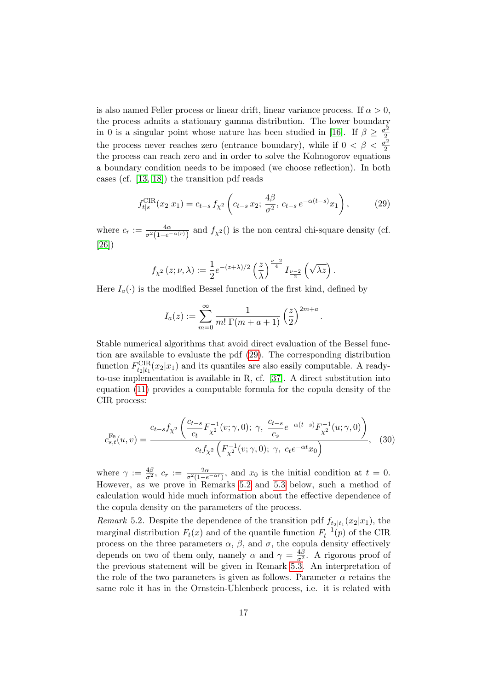is also named Feller process or linear drift, linear variance process. If  $\alpha > 0$ , the process admits a stationary gamma distribution. The lower boundary in 0 is a singular point whose nature has been studied in [\[16\]](#page-22-10). If  $\beta \geq \frac{\sigma^2}{2}$ the process never reaches zero (entrance boundary), while if  $0 < \beta < \frac{\sigma^2}{2}$ 2 the process can reach zero and in order to solve the Kolmogorov equations a boundary condition needs to be imposed (we choose reflection). In both cases (cf. [\[13,](#page-22-11) [18\]](#page-22-12)) the transition pdf reads

<span id="page-16-1"></span>
$$
f_{t|s}^{\text{CIR}}(x_2|x_1) = c_{t-s} f_{\chi^2} \left( c_{t-s} x_2; \, \frac{4\beta}{\sigma^2}, \, c_{t-s} \, e^{-\alpha(t-s)} x_1 \right),\tag{29}
$$

.

where  $c_r := \frac{4\alpha}{\sigma^2(1-e^{-\alpha(r)})}$  and  $f_{\chi^2}(t)$  is the non central chi-square density (cf. [\[26\]](#page-23-11))

$$
f_{\chi^2}\left(z;\nu,\lambda\right):=\frac{1}{2}e^{-(z+\lambda)/2}\left(\frac{z}{\lambda}\right)^{\frac{\nu-2}{4}}I_{\frac{\nu-2}{2}}\left(\sqrt{\lambda z}\right).
$$

Here  $I_a(\cdot)$  is the modified Bessel function of the first kind, defined by

$$
I_a(z) := \sum_{m=0}^{\infty} \frac{1}{m! \Gamma(m+a+1)} \left(\frac{z}{2}\right)^{2m+a}
$$

Stable numerical algorithms that avoid direct evaluation of the Bessel function are available to evaluate the pdf [\(29\)](#page-16-1). The corresponding distribution function  $F_{t_2|t_1}^{\text{CIR}}(x_2|x_1)$  and its quantiles are also easily computable. A readyto-use implementation is available in R, cf. [\[37\]](#page-23-12). A direct substitution into equation  $(11)$  provides a computable formula for the copula density of the CIR process:

$$
c_{s,t}^{\text{Fe}}(u,v) = \frac{c_{t-s}f_{\chi^2} \left(\frac{c_{t-s}}{c_t} F_{\chi^2}^{-1}(v;\gamma,0); \ \gamma, \ \frac{c_{t-s}}{c_s} e^{-\alpha(t-s)} F_{\chi^2}^{-1}(u;\gamma,0)\right)}{c_t f_{\chi^2} \left(F_{\chi^2}^{-1}(v;\gamma,0); \ \gamma, \ c_t e^{-\alpha t} x_0\right)}, \tag{30}
$$

where  $\gamma := \frac{4\beta}{\sigma^2}$ ,  $c_r := \frac{2\alpha}{\sigma^2(1-e^{-\alpha r})}$ , and  $x_0$  is the initial condition at  $t = 0$ . However, as we prove in Remarks [5.2](#page-16-0) and [5.3](#page-17-0) below, such a method of calculation would hide much information about the effective dependence of the copula density on the parameters of the process.

<span id="page-16-0"></span>Remark 5.2. Despite the dependence of the transition pdf  $f_{t_2|t_1}(x_2|x_1)$ , the marginal distribution  $F_t(x)$  and of the quantile function  $F_t^{-1}(p)$  of the CIR process on the three parameters  $\alpha$ ,  $\beta$ , and  $\sigma$ , the copula density effectively depends on two of them only, namely  $\alpha$  and  $\gamma = \frac{4\beta}{\sigma^2}$ . A rigorous proof of the previous statement will be given in Remark [5.3.](#page-17-0) An interpretation of the role of the two parameters is given as follows. Parameter  $\alpha$  retains the same role it has in the Ornstein-Uhlenbeck process, i.e. it is related with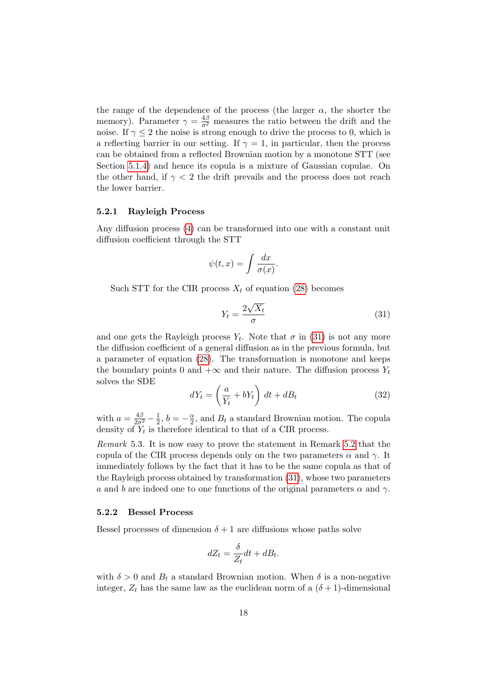the range of the dependence of the process (the larger  $\alpha$ , the shorter the memory). Parameter  $\gamma = \frac{4\beta}{\sigma^2}$  measures the ratio between the drift and the noise. If  $\gamma \leq 2$  the noise is strong enough to drive the process to 0, which is a reflecting barrier in our setting. If  $\gamma = 1$ , in particular, then the process can be obtained from a reflected Brownian motion by a monotone STT (see Section [5.1.4\)](#page-15-3) and hence its copula is a mixture of Gaussian copulae. On the other hand, if  $\gamma < 2$  the drift prevails and the process does not reach the lower barrier.

### 5.2.1 Rayleigh Process

Any diffusion process [\(4\)](#page-4-3) can be transformed into one with a constant unit diffusion coefficient through the STT

$$
\psi(t,x) = \int \frac{dx}{\sigma(x)}.
$$

Such STT for the CIR process  $X_t$  of equation [\(28\)](#page-15-4) becomes

<span id="page-17-1"></span>
$$
Y_t = \frac{2\sqrt{X_t}}{\sigma} \tag{31}
$$

and one gets the Rayleigh process  $Y_t$ . Note that  $\sigma$  in [\(31\)](#page-17-1) is not any more the diffusion coefficient of a general diffusion as in the previous formula, but a parameter of equation [\(28\)](#page-15-4). The transformation is monotone and keeps the boundary points 0 and  $+\infty$  and their nature. The diffusion process  $Y_t$ solves the SDE

<span id="page-17-2"></span>
$$
dY_t = \left(\frac{a}{Y_t} + bY_t\right) dt + dB_t \tag{32}
$$

with  $a = \frac{4\beta}{2\sigma^2} - \frac{1}{2}$  $\frac{1}{2}, b = -\frac{\alpha}{2}$  $\frac{\alpha}{2}$ , and  $B_t$  a standard Brownian motion. The copula density of  $Y_t$  is therefore identical to that of a CIR process.

<span id="page-17-0"></span>Remark 5.3. It is now easy to prove the statement in Remark [5.2](#page-16-0) that the copula of the CIR process depends only on the two parameters  $\alpha$  and  $\gamma$ . It immediately follows by the fact that it has to be the same copula as that of the Rayleigh process obtained by transformation [\(31\)](#page-17-1), whose two parameters a and b are indeed one to one functions of the original parameters  $\alpha$  and  $\gamma$ .

#### 5.2.2 Bessel Process

Bessel processes of dimension  $\delta + 1$  are diffusions whose paths solve

$$
dZ_t = \frac{\delta}{Z_t}dt + dB_t.
$$

with  $\delta > 0$  and  $B_t$  a standard Brownian motion. When  $\delta$  is a non-negative integer,  $Z_t$  has the same law as the euclidean norm of a  $(\delta + 1)$ -dimensional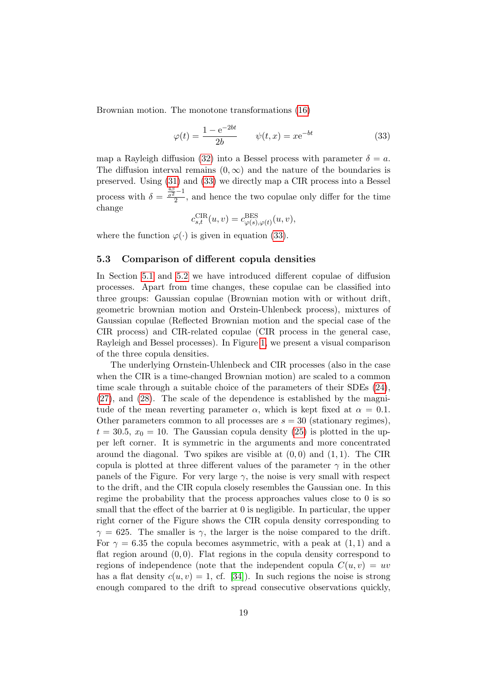Brownian motion. The monotone transformations [\(16\)](#page-9-2)

<span id="page-18-0"></span>
$$
\varphi(t) = \frac{1 - e^{-2bt}}{2b}
$$
  $\psi(t, x) = xe^{-bt}$  (33)

map a Rayleigh diffusion [\(32\)](#page-17-2) into a Bessel process with parameter  $\delta = a$ . The diffusion interval remains  $(0, \infty)$  and the nature of the boundaries is preserved. Using [\(31\)](#page-17-1) and [\(33\)](#page-18-0) we directly map a CIR process into a Bessel process with  $\delta = \frac{\frac{4\beta}{\sigma^2} - 1}{2}$ , and hence the two copulae only differ for the time change

$$
c_{s,t}^{\text{CIR}}(u,v) = c_{\varphi(s),\varphi(t)}^{\text{BES}}(u,v),
$$

where the function  $\varphi(\cdot)$  is given in equation [\(33\)](#page-18-0).

#### 5.3 Comparison of different copula densities

In Section [5.1](#page-13-0) and [5.2](#page-15-0) we have introduced different copulae of diffusion processes. Apart from time changes, these copulae can be classified into three groups: Gaussian copulae (Brownian motion with or without drift, geometric brownian motion and Orstein-Uhlenbeck process), mixtures of Gaussian copulae (Reflected Brownian motion and the special case of the CIR process) and CIR-related copulae (CIR process in the general case, Rayleigh and Bessel processes). In Figure [1,](#page-19-0) we present a visual comparison of the three copula densities.

The underlying Ornstein-Uhlenbeck and CIR processes (also in the case when the CIR is a time-changed Brownian motion) are scaled to a common time scale through a suitable choice of the parameters of their SDEs [\(24\)](#page-14-1), [\(27\)](#page-15-1), and [\(28\)](#page-15-4). The scale of the dependence is established by the magnitude of the mean reverting parameter  $\alpha$ , which is kept fixed at  $\alpha = 0.1$ . Other parameters common to all processes are  $s = 30$  (stationary regimes),  $t = 30.5, x_0 = 10$ . The Gaussian copula density [\(25\)](#page-14-2) is plotted in the upper left corner. It is symmetric in the arguments and more concentrated around the diagonal. Two spikes are visible at  $(0,0)$  and  $(1,1)$ . The CIR copula is plotted at three different values of the parameter  $\gamma$  in the other panels of the Figure. For very large  $\gamma$ , the noise is very small with respect to the drift, and the CIR copula closely resembles the Gaussian one. In this regime the probability that the process approaches values close to 0 is so small that the effect of the barrier at 0 is negligible. In particular, the upper right corner of the Figure shows the CIR copula density corresponding to  $\gamma = 625$ . The smaller is  $\gamma$ , the larger is the noise compared to the drift. For  $\gamma = 6.35$  the copula becomes asymmetric, with a peak at  $(1, 1)$  and a flat region around  $(0, 0)$ . Flat regions in the copula density correspond to regions of independence (note that the independent copula  $C(u, v) = uv$ has a flat density  $c(u, v) = 1$ , cf. [\[34\]](#page-23-4)). In such regions the noise is strong enough compared to the drift to spread consecutive observations quickly,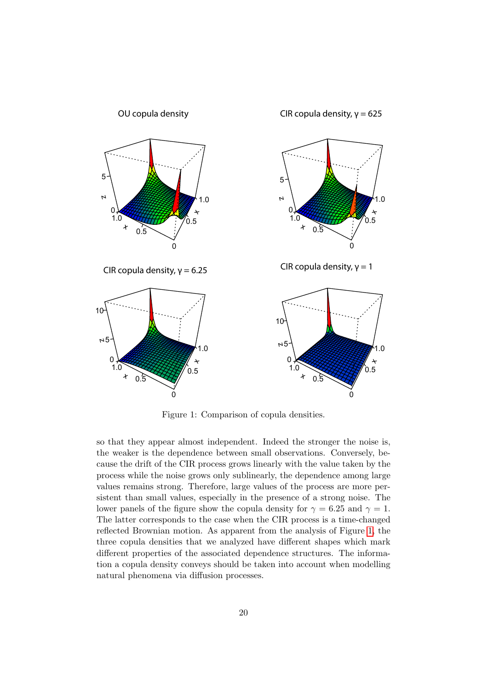

<span id="page-19-0"></span>Figure 1: Comparison of copula densities.

so that they appear almost independent. Indeed the stronger the noise is, the weaker is the dependence between small observations. Conversely, because the drift of the CIR process grows linearly with the value taken by the process while the noise grows only sublinearly, the dependence among large values remains strong. Therefore, large values of the process are more persistent than small values, especially in the presence of a strong noise. The lower panels of the figure show the copula density for  $\gamma = 6.25$  and  $\gamma = 1$ . The latter corresponds to the case when the CIR process is a time-changed reflected Brownian motion. As apparent from the analysis of Figure [1,](#page-19-0) the three copula densities that we analyzed have different shapes which mark different properties of the associated dependence structures. The information a copula density conveys should be taken into account when modelling natural phenomena via diffusion processes.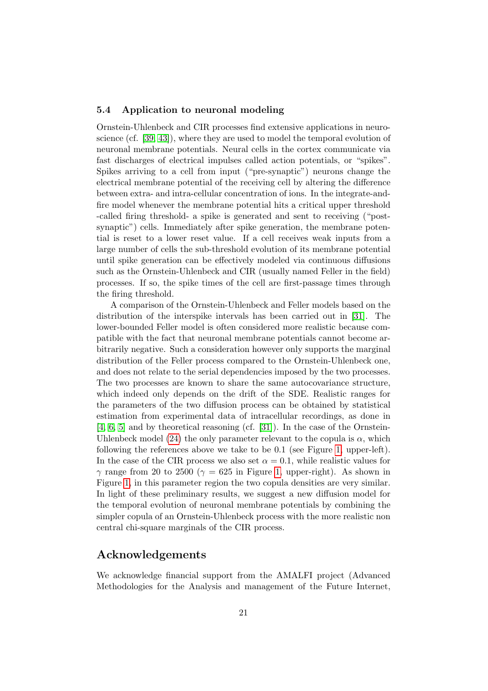### 5.4 Application to neuronal modeling

Ornstein-Uhlenbeck and CIR processes find extensive applications in neuroscience (cf. [\[39,](#page-24-4) [43\]](#page-24-5)), where they are used to model the temporal evolution of neuronal membrane potentials. Neural cells in the cortex communicate via fast discharges of electrical impulses called action potentials, or "spikes". Spikes arriving to a cell from input ("pre-synaptic") neurons change the electrical membrane potential of the receiving cell by altering the difference between extra- and intra-cellular concentration of ions. In the integrate-andfire model whenever the membrane potential hits a critical upper threshold -called firing threshold- a spike is generated and sent to receiving ("postsynaptic") cells. Immediately after spike generation, the membrane potential is reset to a lower reset value. If a cell receives weak inputs from a large number of cells the sub-threshold evolution of its membrane potential until spike generation can be effectively modeled via continuous diffusions such as the Ornstein-Uhlenbeck and CIR (usually named Feller in the field) processes. If so, the spike times of the cell are first-passage times through the firing threshold.

A comparison of the Ornstein-Uhlenbeck and Feller models based on the distribution of the interspike intervals has been carried out in [\[31\]](#page-23-13). The lower-bounded Feller model is often considered more realistic because compatible with the fact that neuronal membrane potentials cannot become arbitrarily negative. Such a consideration however only supports the marginal distribution of the Feller process compared to the Ornstein-Uhlenbeck one, and does not relate to the serial dependencies imposed by the two processes. The two processes are known to share the same autocovariance structure, which indeed only depends on the drift of the SDE. Realistic ranges for the parameters of the two diffusion process can be obtained by statistical estimation from experimental data of intracellular recordings, as done in [\[4,](#page-21-7) [6,](#page-21-8) [5\]](#page-21-9) and by theoretical reasoning (cf. [\[31\]](#page-23-13)). In the case of the Ornstein-Uhlenbeck model [\(24\)](#page-14-1) the only parameter relevant to the copula is  $\alpha$ , which following the references above we take to be 0.1 (see Figure [1,](#page-19-0) upper-left). In the case of the CIR process we also set  $\alpha = 0.1$ , while realistic values for  $\gamma$  range from 20 to 2500 ( $\gamma = 625$  in Figure [1,](#page-19-0) upper-right). As shown in Figure [1,](#page-19-0) in this parameter region the two copula densities are very similar. In light of these preliminary results, we suggest a new diffusion model for the temporal evolution of neuronal membrane potentials by combining the simpler copula of an Ornstein-Uhlenbeck process with the more realistic non central chi-square marginals of the CIR process.

### Acknowledgements

We acknowledge financial support from the AMALFI project (Advanced Methodologies for the Analysis and management of the Future Internet,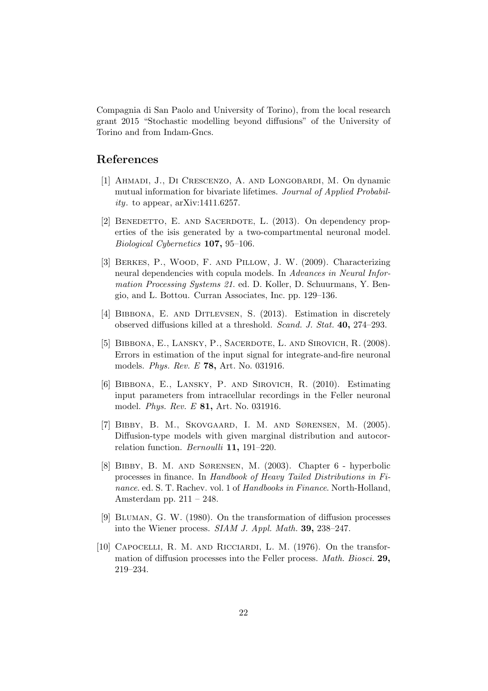Compagnia di San Paolo and University of Torino), from the local research grant 2015 "Stochastic modelling beyond diffusions" of the University of Torino and from Indam-Gncs.

# References

- <span id="page-21-4"></span>[1] Ahmadi, J., Di Crescenzo, A. and Longobardi, M. On dynamic mutual information for bivariate lifetimes. Journal of Applied Probability. to appear,  $arXiv:1411.6257$ .
- <span id="page-21-5"></span>[2] BENEDETTO, E. AND SACERDOTE, L. (2013). On dependency properties of the isis generated by a two-compartmental neuronal model. Biological Cybernetics 107, 95–106.
- <span id="page-21-6"></span>[3] Berkes, P., Wood, F. and Pillow, J. W. (2009). Characterizing neural dependencies with copula models. In Advances in Neural Information Processing Systems 21. ed. D. Koller, D. Schuurmans, Y. Bengio, and L. Bottou. Curran Associates, Inc. pp. 129–136.
- <span id="page-21-7"></span>[4] BIBBONA, E. AND DITLEVSEN, S. (2013). Estimation in discretely observed diffusions killed at a threshold. Scand. J. Stat. 40, 274–293.
- <span id="page-21-9"></span>[5] Bibbona, E., Lansky, P., Sacerdote, L. and Sirovich, R. (2008). Errors in estimation of the input signal for integrate-and-fire neuronal models. Phys. Rev. E 78, Art. No. 031916.
- <span id="page-21-8"></span>[6] Bibbona, E., Lansky, P. and Sirovich, R. (2010). Estimating input parameters from intracellular recordings in the Feller neuronal model. Phys. Rev. E 81, Art. No. 031916.
- <span id="page-21-2"></span>[7] Bibby, B. M., Skovgaard, I. M. and Sørensen, M. (2005). Diffusion-type models with given marginal distribution and autocorrelation function. Bernoulli 11, 191–220.
- <span id="page-21-3"></span>[8] Bibby, B. M. and Sørensen, M. (2003). Chapter 6 - hyperbolic processes in finance. In Handbook of Heavy Tailed Distributions in Finance. ed. S. T. Rachev. vol. 1 of Handbooks in Finance. North-Holland, Amsterdam pp.  $211 - 248$ .
- <span id="page-21-1"></span>[9] Bluman, G. W. (1980). On the transformation of diffusion processes into the Wiener process. SIAM J. Appl. Math. 39, 238–247.
- <span id="page-21-0"></span>[10] Capocelli, R. M. and Ricciardi, L. M. (1976). On the transformation of diffusion processes into the Feller process. Math. Biosci. 29, 219–234.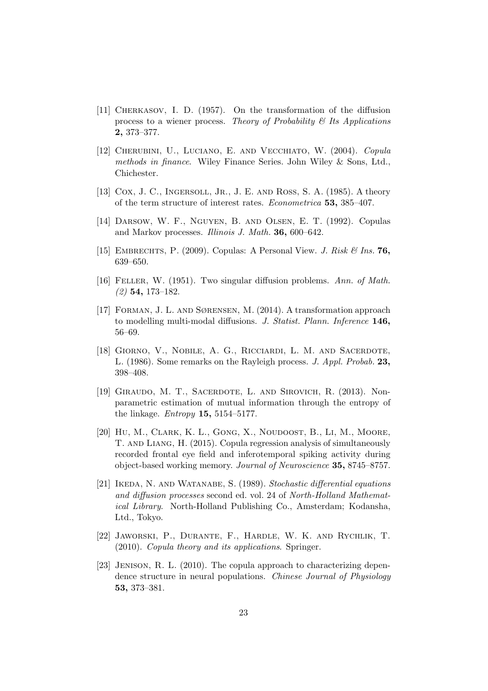- <span id="page-22-0"></span>[11] Cherkasov, I. D. (1957). On the transformation of the diffusion process to a wiener process. Theory of Probability  $\mathcal C$  Its Applications 2, 373–377.
- <span id="page-22-3"></span>[12] Cherubini, U., Luciano, E. and Vecchiato, W. (2004). Copula methods in finance. Wiley Finance Series. John Wiley & Sons, Ltd., Chichester.
- <span id="page-22-11"></span>[13] Cox, J. C., INGERSOLL, JR., J. E. AND ROSS, S. A. (1985). A theory of the term structure of interest rates. Econometrica 53, 385–407.
- <span id="page-22-8"></span>[14] Darsow, W. F., Nguyen, B. and Olsen, E. T. (1992). Copulas and Markov processes. Illinois J. Math. 36, 600–642.
- <span id="page-22-4"></span>[15] EMBRECHTS, P. (2009). Copulas: A Personal View. J. Risk  $\mathcal{B}$  Ins. 76, 639–650.
- <span id="page-22-10"></span>[16] Feller, W. (1951). Two singular diffusion problems. Ann. of Math. (2) 54, 173–182.
- <span id="page-22-1"></span>[17] Forman, J. L. and Sørensen, M. (2014). A transformation approach to modelling multi-modal diffusions. J. Statist. Plann. Inference 146, 56–69.
- <span id="page-22-12"></span>[18] Giorno, V., Nobile, A. G., Ricciardi, L. M. and Sacerdote, L. (1986). Some remarks on the Rayleigh process. J. Appl. Probab. 23, 398–408.
- <span id="page-22-7"></span>[19] Giraudo, M. T., Sacerdote, L. and Sirovich, R. (2013). Nonparametric estimation of mutual information through the entropy of the linkage. *Entropy* **15**, 5154–5177.
- <span id="page-22-5"></span>[20] HU, M., CLARK, K. L., GONG, X., NOUDOOST, B., LI, M., MOORE, T. and Liang, H. (2015). Copula regression analysis of simultaneously recorded frontal eye field and inferotemporal spiking activity during object-based working memory. Journal of Neuroscience 35, 8745–8757.
- <span id="page-22-9"></span>[21] Ikeda, N. and Watanabe, S. (1989). Stochastic differential equations and diffusion processes second ed. vol. 24 of North-Holland Mathematical Library. North-Holland Publishing Co., Amsterdam; Kodansha, Ltd., Tokyo.
- <span id="page-22-2"></span>[22] Jaworski, P., Durante, F., Hardle, W. K. and Rychlik, T. (2010). Copula theory and its applications. Springer.
- <span id="page-22-6"></span>[23] JENISON, R. L. (2010). The copula approach to characterizing dependence structure in neural populations. Chinese Journal of Physiology 53, 373–381.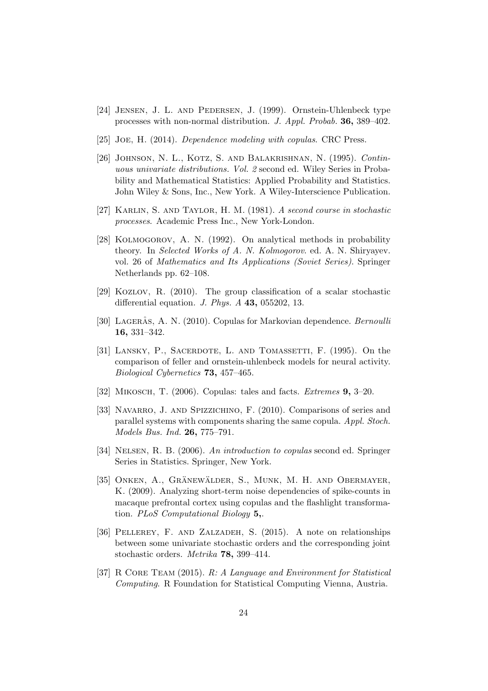- <span id="page-23-2"></span>[24] Jensen, J. L. and Pedersen, J. (1999). Ornstein-Uhlenbeck type processes with non-normal distribution. J. Appl. Probab. 36, 389–402.
- <span id="page-23-3"></span>[25] Joe, H. (2014). Dependence modeling with copulas. CRC Press.
- <span id="page-23-11"></span>[26] JOHNSON, N. L., KOTZ, S. AND BALAKRISHNAN, N. (1995). Continuous univariate distributions. Vol. 2 second ed. Wiley Series in Probability and Mathematical Statistics: Applied Probability and Statistics. John Wiley & Sons, Inc., New York. A Wiley-Interscience Publication.
- <span id="page-23-10"></span>[27] Karlin, S. and Taylor, H. M. (1981). A second course in stochastic processes. Academic Press Inc., New York-London.
- <span id="page-23-0"></span>[28] Kolmogorov, A. N. (1992). On analytical methods in probability theory. In Selected Works of A. N. Kolmogorov. ed. A. N. Shiryayev. vol. 26 of Mathematics and Its Applications (Soviet Series). Springer Netherlands pp. 62–108.
- <span id="page-23-1"></span>[29] Kozlov, R. (2010). The group classification of a scalar stochastic differential equation. J. Phys. A 43, 055202, 13.
- <span id="page-23-8"></span>[30] LAGERÅS, A. N. (2010). Copulas for Markovian dependence. Bernoulli 16, 331–342.
- <span id="page-23-13"></span>[31] LANSKY, P., SACERDOTE, L. AND TOMASSETTI, F. (1995). On the comparison of feller and ornstein-uhlenbeck models for neural activity. Biological Cybernetics 73, 457–465.
- <span id="page-23-9"></span>[32] Mikosch, T. (2006). Copulas: tales and facts. Extremes 9, 3–20.
- <span id="page-23-5"></span>[33] NAVARRO, J. AND SPIZZICHINO, F. (2010). Comparisons of series and parallel systems with components sharing the same copula. Appl. Stoch. Models Bus. Ind. 26, 775–791.
- <span id="page-23-4"></span>[34] Nelsen, R. B. (2006). An introduction to copulas second ed. Springer Series in Statistics. Springer, New York.
- <span id="page-23-7"></span>[35] ONKEN, A., GRÄNEWÄLDER, S., MUNK, M. H. AND OBERMAYER, K. (2009). Analyzing short-term noise dependencies of spike-counts in macaque prefrontal cortex using copulas and the flashlight transformation. PLoS Computational Biology 5,.
- <span id="page-23-6"></span>[36] Pellerey, F. and Zalzadeh, S. (2015). A note on relationships between some univariate stochastic orders and the corresponding joint stochastic orders. Metrika 78, 399–414.
- <span id="page-23-12"></span>[37] R CORE TEAM (2015). R: A Language and Environment for Statistical Computing. R Foundation for Statistical Computing Vienna, Austria.